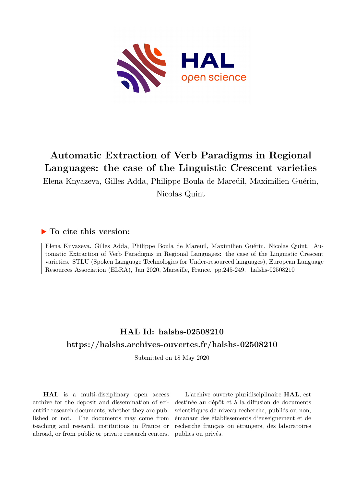

# **Automatic Extraction of Verb Paradigms in Regional Languages: the case of the Linguistic Crescent varieties**

Elena Knyazeva, Gilles Adda, Philippe Boula de Mareüil, Maximilien Guérin, Nicolas Quint

## **To cite this version:**

Elena Knyazeva, Gilles Adda, Philippe Boula de Mareüil, Maximilien Guérin, Nicolas Quint. Automatic Extraction of Verb Paradigms in Regional Languages: the case of the Linguistic Crescent varieties. STLU (Spoken Language Technologies for Under-resourced languages), European Language Resources Association (ELRA), Jan 2020, Marseille, France. pp.245-249. halshs-02508210

## **HAL Id: halshs-02508210 <https://halshs.archives-ouvertes.fr/halshs-02508210>**

Submitted on 18 May 2020

**HAL** is a multi-disciplinary open access archive for the deposit and dissemination of scientific research documents, whether they are published or not. The documents may come from teaching and research institutions in France or abroad, or from public or private research centers.

L'archive ouverte pluridisciplinaire **HAL**, est destinée au dépôt et à la diffusion de documents scientifiques de niveau recherche, publiés ou non, émanant des établissements d'enseignement et de recherche français ou étrangers, des laboratoires publics ou privés.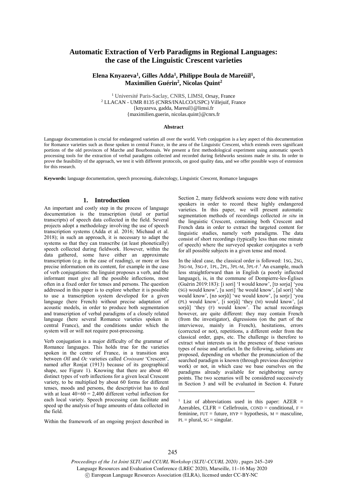## **Automatic Extraction of Verb Paradigms in Regional Languages: the case of the Linguistic Crescent varieties**

### **Elena Knyazeva<sup>1</sup> , Gilles Adda<sup>1</sup> , Philippe Boula de Mareüil<sup>1</sup> , Maximilien Guérin<sup>2</sup> , Nicolas Quint<sup>2</sup>**

<sup>1</sup> Université Paris-Saclay, CNRS, LIMSI, Orsay, France <sup>2</sup> LLACAN - UMR 8135 (CNRS/INALCO/USPC) Villejuif, France {knyazeva, gadda, Mareuil}@limsi.fr {maximilien.guerin, nicolas.quint}@cnrs.fr

#### **Abstract**

Language documentation is crucial for endangered varieties all over the world. Verb conjugation is a key aspect of this documentation for Romance varieties such as those spoken in central France, in the area of the Linguistic Crescent, which extends overs significant portions of the old provinces of Marche and Bourbonnais. We present a first methodological experiment using automatic speech processing tools for the extraction of verbal paradigms collected and recorded during fieldworks sessions made *in situ*. In order to prove the feasibility of the approach, we test it with different protocols, on good quality data, and we offer possible ways of extension for this research.

**Keywords:** language documentation, speech processing, dialectology, Linguistic Crescent, Romance languages

#### **1. Introduction**

An important and costly step in the process of language documentation is the transcription (total or partial transcripts) of speech data collected in the field. Several projects adopt a methodology involving the use of speech transcription systems (Adda et al. 2016; Michaud et al. 2018); in such an approach, it is necessary to adapt the systems so that they can transcribe (at least phonetically) speech collected during fieldwork. However, within the data gathered, some have either an approximate transcription (e.g. in the case of reading), or more or less precise information on its content, for example in the case of verb conjugations: the linguist proposes a verb, and the informant must give all the possible inflections, most often in a fixed order for tenses and persons. The question addressed in this paper is to explore whether it is possible to use a transcription system developed for a given language (here French) without precise adaptation of acoustic models, in order to produce both segmentation and transcription of verbal paradigms of a closely related language (here several Romance varieties spoken in central France), and the conditions under which the system will or will not require post-processing.

Verb conjugation is a major difficulty of the grammar of Romance languages. This holds true for the varieties spoken in the centre of France, in a transition area between *Oïl* and *Oc* varieties called *Croissant* 'Crescent', named after Ronjat (1913) because of its geographical shape, see Figure 1). Knowing that there are about 40 distinct types of verb inflections for a given local Crescent variety, to be multiplied by about 60 forms for different tenses, moods and persons, the descriptivist has to deal with at least  $40 \times 60 = 2,400$  different verbal inflection for each local variety. Speech processing can facilitate and speed up the analysis of huge amounts of data collected in the field.

Within the framework of an ongoing project described in

Section 2, many fieldwork sessions were done with native speakers in order to record these highly endangered varieties. In this paper, we will present automatic segmentation methods of recordings collected *in situ* in the linguistic Crescent, containing both Crescent and French data in order to extract the targeted content for linguistic studies, namely verb paradigms. The data consist of short recordings (typically less than one minute of speech) where the surveyed speaker conjugates a verb for all possible subjects in a given tense and mood.

In the ideal case, the classical order is followed: 1SG, 2SG, 3SG-M, 3SG-F, 1PL, 2PL, 3PL-M, 3PL-F. <sup>1</sup> An example, much less straightforward than in English (a poorly inflected language), is, in the commune of Dompierre-les-Églises (Guérin 2019:183): [i sori] 'I would know', [tə soria] 'you (SG) would know', [u sori] 'he would know', [al sori] 'she would know', [nə sorjɑ̃] 'we would know', [u sorjɛ] 'you (PL) would know', [i sorjɑ̃] 'they (M) would know', [al sorj $\tilde{a}$ ] 'they (F) would know'. The actual recordings however, are quite different: they may contain French (from the investigator), digressions (on the part of the interviewee, mainly in French), hesitations, errors (corrected or not), repetitions, a different order from the classical order, gaps, etc. The challenge is therefore to extract what interests us in the presence of these various types of noise and artefact. In the following, solutions are proposed, depending on whether the pronunciation of the searched paradigm is known (through previous descriptive work) or not, in which case we base ourselves on the paradigms already available for neighboring survey points. The two scenarios will be considered successively in Section 3 and will be evaluated in Section 4. Future

-

*Proceedings of the 1st Joint SLTU and CCURL Workshop (SLTU-CCURL 2020)* , pages 245–249 Language Resources and Evaluation Conference (LREC 2020), Marseille, 11–16 May 2020 c European Language Resources Association (ELRA), licensed under CC-BY-NC

<sup>&</sup>lt;sup>1</sup> List of abbreviations used in this paper:  $AZER =$ Azerables, CLFR = Cellefrouin,  $COND = conditional$ , F = feminine,  $FUT = future$ ,  $HYP = hypothesis$ ,  $M = masculine$ ,  $PL = plural$ ,  $SG = singular$ .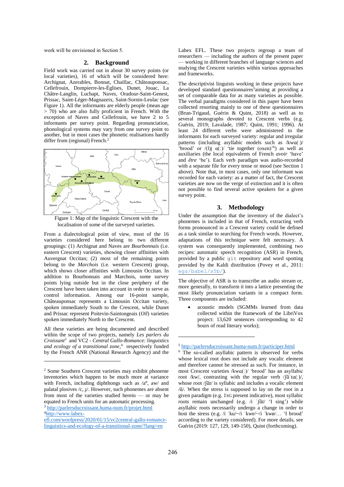work will be envisioned in Section 5.

#### **2. Background**

Field work was carried out in about 30 survey points (or local varieties), 16 of which will be considered here: Archignat, Azerables, Bonnat, Chaillac, Châteauponsac, Cellefrouin, Dompierre-les-Églises, Dunet, Jouac, La Châtre-Langlin, Luchapt, Naves, Oradour-Saint-Genest, Prissac, Saint-Léger-Magnazeix, Saint-Sornin-Leulac (see Figure 1). All the informants are elderly people (mean age > 70) who are also fully proficient in French. With the exception of Naves and Cellefrouin, we have 2 to 5 informants per survey point. Regarding pronunciation, phonological systems may vary from one survey point to another, but in most cases the phonetic realisations hardly differ from (regional) French.<sup>2</sup>



Figure 1: Map of the linguistic Crescent with the localisation of some of the surveyed varieties.

From a dialectological point of view, most of the 16 varieties considered here belong to two different groupings: (1) Archignat and Naves are *Bourbonnais* (i.e. eastern Crescent) varieties, showing closer affinities with Auvergnat Occitan; (2) most of the remaining points belong to the *Marchois* (i.e. western Crescent) group, which shows closer affinities with Limousin Occitan. In addition to Bourbonnais and Marchois, some survey points lying outside but in the close periphery of the Crescent have been taken into account in order to serve as control information. Among our 16-point sample, Châteauponsac represents a Limousin Occitan variety, spoken immediately South to the Crescent, while Dunet and Prissac represent Poitevin-Saintongeais (*Oïl*) varieties spoken immediately North to the Crescent.

All these varieties are being documented and described within the scope of two projects, namely *Les parlers du Croissant<sup>3</sup>* and VC2 - *Central Gallo-Romance: linguistics and ecology of a transitional zone*, 4 respectively funded by the French ANR (National Research Agency) and the

l

Labex EFL. These two projects regroup a team of researchers — including the authors of the present paper — working in different branches of language sciences and studying the Crescent varieties within various approaches and frameworks.

The descriptivist linguists working in these projects have developed standard questionnaires<sup>5</sup>aiming at providing a set of comparable data for as many varieties as possible. The verbal paradigms considered in this paper have been collected resorting mainly to one of these questionnaires (Brun-Trigaud, Guérin & Quint, 2018) as well as to several monographs devoted to Crescent verbs (e.g. Guérin, 2019; Lavalade, 1987; Quint, 1991; 1996). At least 24 different verbs were administered to the informants for each surveyed variety: regular and irregular patterns (including asyllabic models such as /kwɑ(:)/ 'brood' or  $/(1)$ j  $\alpha(')/$  'tie together (oxen)'<sup>6</sup>) as well as auxiliaries (the local equivalents of French *avoir* 'have' and *être* 'be'). Each verb paradigm was audio-recorded with a separate file for every tense or mood (see Section 1 above). Note that, in most cases, only one informant was recorded for each variety: as a matter of fact, the Crescent varieties are now on the verge of extinction and it is often not possible to find several active speakers for a given survey point.

#### **3. Methodology**

Under the assumption that the inventory of the dialect's phonemes is included in that of French, extracting verb forms pronounced in a Crescent variety could be defined as a task similar to searching for French words. However, adaptations of this technique were felt necessary. A system was consequently implemented, combining two recipes: automatic speech recognition (ASR) in French, provided by a public git repository and word spotting provided by the Kaldi distribution (Povey et al., 2011: egs/babel/s5b/).

The objective of ASR is to transcribe an audio stream or, more generally, to transform it into a lattice presenting the most likely pronunciation variants in a compact form. Three components are included:

 acoustic models (SGMMs learned from data collected within the framework of the LibriVox project: 13,620 sentences corresponding to 42 hours of read literary works);

-

<sup>2</sup> Some Southern Crescent varieties may exhibit phoneme inventories which happen to be much more at variance with French, including diphthongs such as  $\langle a^{\phi}, aw \rangle$  and palatal plosives  $/c$ ,  $\frac{1}{2}$ . However, such phonemes are absent from most of the varieties studied herein — or may be equated to French units for an automatic processing.

<sup>3</sup> http://parlersducroissant.huma-num.fr/projet.html 4http://www.labex-

efl.com/wordpress/2020/01/15/vc2central-gallo-romancelinguistics-and-ecology-of-a-transitional-zone/?lang=en

<sup>5</sup> http://parlersducroissant.huma-num.fr/participer.html

<sup>6</sup> The so-called asyllabic pattern is observed for verbs whose lexical root does not include any vocalic element and therefore cannot be stressed as such. For instance, in most Crescent varieties /kwɑ(ː)/ 'brood' has an asyllabic root /kw/, contrasting with the regular verb / $\int \tilde{a}^{T} \alpha(x) dx$ whose root /ʃɑ̃t/ is syllabic and includes a vocalic element /ɑ̃ /. When the stress is supposed to lay on the root in a given paradigm (e.g. 1SG present indicative), most syllabic roots remain unchanged (e.g. /i 'fat/ 'I sing') while asyllabic roots necessarily undergo a change in order to host the stress (e.g. /i ˈku/~/i ˈkwe/~/i ˈkwø/… 'I brood' according to the variety considered). For more details, see Guérin (2019: 127, 129, 149-150), Quint (forthcoming).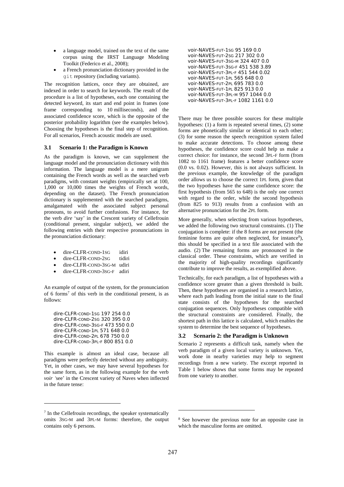- a language model, trained on the text of the same corpus using the IRST Language Modeling Toolkit (Federico et al., 2008);
- a French pronunciation dictionary provided in the git repository (including variants).

The recognition lattices, once they are obtained, are indexed in order to search for keywords. The result of the procedure is a list of hypotheses, each one containing the detected keyword, its start and end point in frames (one frame corresponding to 10 milliseconds), and the associated confidence score, which is the opposite of the posterior probability logarithm (see the examples below). Choosing the hypotheses is the final step of recognition. For all scenarios, French acoustic models are used.

#### **3.1 Scenario 1: the Paradigm is Known**

As the paradigm is known, we can supplement the language model and the pronunciation dictionary with this information. The language model is a mere unigram containing the French words as well as the searched verb paradigms, with constant weights (empirically set at 100, 1,000 or 10,000 times the weights of French words, depending on the dataset). The French pronunciation dictionary is supplemented with the searched paradigms, amalgamated with the associated subject personal pronouns, to avoid further confusions. For instance, for the verb *dire* 'say' in the Crescent variety of Cellefrouin (conditional present, singular subject), we added the following entries with their respective pronunciations in the pronunciation dictionary:

- dire-CLFR-COND-1SG idiri
- dire-CLFR-COND-2sG tidiri
- dire-CLFR-COND-3SG-M udiri
- dire-CLFR-COND-3SG-F adiri

An example of output of the system, for the pronunciation of 6 forms<sup>7</sup> of this verb in the conditional present, is as follows:

dire-CLFR-COND-1SG 197 254 0.0 dire-CLFR-COND-2SG 320 395 0.0 dire-CLFR-COND-3SG-F 473 550 0.0 dire-CLFR-COND-1PL 571 648 0.0 dire-CLFR-COND-2PL 678 750 0.0 dire-CLFR-COND-3PL-F 800 851 0.0

This example is almost an ideal case, because all paradigms were perfectly detected without any ambiguity. Yet, in other cases, we may have several hypotheses for the same form, as in the following example for the verb *voir '*see' in the Crescent variety of Naves when inflected in the future tense:

l

There may be three possible sources for these multiple hypotheses: (1) a form is repeated several times, (2) some forms are phonetically similar or identical to each other; (3) for some reason the speech recognition system failed to make accurate detections. To choose among these hypotheses, the confidence score could help us make a correct choice: for instance, the second 3PL-F form (from 1082 to 1161 frame) features a better confidence score (0.0 vs. 0.02). However, this is not always sufficient. In the previous example, the knowledge of the paradigm order allows us to choose the correct 1PL form, given that the two hypotheses have the same confidence score: the first hypothesis (from 565 to 648) is the only one correct with regard to the order, while the second hypothesis (from 825 to 913) results from a confusion with an alternative pronunciation for the 2PL form.

More generally, when selecting from various hypotheses, we added the following two structural constraints. (1) The conjugation is complete: if the 8 forms are not present (the feminine forms are quite often neglected, for instance<sup>8</sup>), this should be specified in a text file associated with the audio. (2) The remaining forms are pronounced in the classical order. These constraints, which are verified in the majority of high-quality recordings significantly contribute to improve the results, as exemplified above.

Technically, for each paradigm, a list of hypotheses with a confidence score greater than a given threshold is built. Then, these hypotheses are organised in a research lattice, where each path leading from the initial state to the final state consists of the hypotheses for the searched conjugation sequences. Only hypotheses compatible with the structural constraints are considered. Finally, the shortest path in this lattice is calculated, which enables the system to determine the best sequence of hypotheses.

#### **3.2 Scenario 2: the Paradigm is Unknown**

Scenario 2 represents a difficult task, namely when the verb paradigm of a given local variety is unknown. Yet, work done in nearby varieties may help to segment recordings from a new variety. The excerpt reported in Table 1 below shows that some forms may be repeated from one variety to another.

-

<sup>7</sup> In the Cellefrouin recordings, the speaker systematically omits 3SG-M and 3PL-M forms: therefore, the output contains only 6 persons.

voir-NAVES-FUT-1SG 95 169 0.0 voir-NAVES-FUT-2SG 217 302 0.0 voir-NAVES-FUT-3SG-M 324 407 0.0 voir-NAVES-FUT-3SG-F 451 538 3.89 voir-NAVES-FUT-3PL-F 451 544 0.02 voir-NAVES-FUT-1PL 565 648 0.0 voir-NAVES-FUT-2PL 695 783 0.0 voir-NAVES-FUT-1PL 825 913 0.0 voir-NAVES-FUT-3PL-M 957 1044 0.0 voir-NAVES-FUT-3PL-F 1082 1161 0.0

<sup>8</sup> See however the previous note for an opposite case in which the masculine forms are omitted.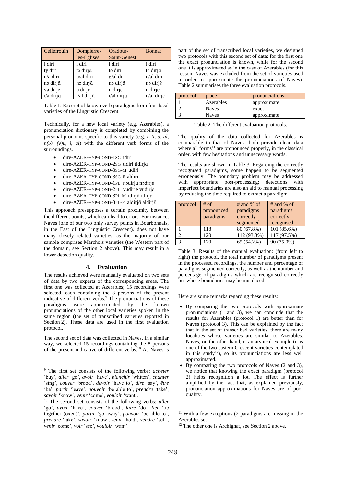| Cellefrouin | Dompierre-  | Oradour-        | <b>Bonnat</b> |
|-------------|-------------|-----------------|---------------|
|             | les-Églises | Saint-Genest    |               |
| i diri      | i diri      | <i>i</i> diri   | i diri        |
| ty diri     | to dirja    | ta diri         | to dirja      |
| u/a diri    | u/al diri   | $\phi$ /al diri | u/al diri     |
| nə dirjã    | nə dirjã    | nə dirjã        | nə dirje      |
| və dirje    | u dirje     | u dirje         | u dirje       |
| i/a dirjã   | i/al dirjã  | i/al dirjã      | u/al dirje    |

Table 1: Excerpt of known verb paradigms from four local varieties of the Linguistic Crescent.

Technically, for a new local variety (e.g. Azerables), a pronunciation dictionary is completed by combining the personal pronouns specific to this variety (e.g. *i, ti, u, al,*   $n(a)$ ,  $(v)$ *u*, *i*, *al*) with the different verb forms of the surroundings.

- dire-AZER-HYP-COND-1SG idiri
- dire-AZER-HYP-COND-2SG tidiri tidirjɑ
- dire-AZER-HYP-COND-3SG-M udiri
- dire-AZER-HYP-COND-3SG-F aldiri
- dire-AZER-HYP-COND-1PL nədirjã nədirjẽ
- dire-AZER-HYP-COND-2PL vudirje vudirjɛ
- · dire-AZER-HYP-COND-3PL-M idirjã idirjẽ
- dire-AZER-HYP-COND-3PL-F aldirjã aldirjẽ

This approach presupposes a certain proximity between the different points, which can lead to errors. For instance, Naves (one of our two only survey points in Bourbonnais, in the East of the Linguistic Crescent), does not have many closely related varieties, as the majority of our sample comprises Marchois varieties (the Western part of the domain, see Section 2 above). This may result in a lower detection quality.

#### **4. Evaluation**

The results achieved were manually evaluated on two sets of data by two experts of the corresponding areas. The first one was collected at Azerables; 15 recordings were selected, each containing the 8 persons of the present indicative of different verbs. <sup>9</sup> The pronunciations of these paradigms were approximated by the known pronunciations of the other local varieties spoken in the same region (the set of transcribed varieties reported in Section 2). These data are used in the first evaluation protocol.

The second set of data was collected in Naves. In a similar way, we selected 15 recordings containing the 8 persons of the present indicative of different verbs. <sup>10</sup> As Naves is

l

part of the set of transcribed local varieties, we designed two protocols with this second set of data: for the first one the exact pronunciation is known, while for the second one it is approximated as in the case of Azerables (for this reason, Naves was excluded from the set of varieties used in order to approximate the pronunciations of Naves). Table 2 summarises the three evaluation protocols.

| protocol | place        | pronunciations |
|----------|--------------|----------------|
|          | Azerables    | approximate    |
|          | <b>Naves</b> | exact          |
|          | <b>Naves</b> | approximate    |

Table 2: The different evaluation protocols.

The quality of the data collected for Azerables is comparable to that of Naves: both provide clean data where all forms<sup>11</sup> are pronounced properly, in the classical order, with few hesitations and unnecessary words.

The results are shown in Table 3. Regarding the correctly recognised paradigms, some happen to be segmented erroneously. The boundary problem may be addressed with appropriate post-processing; detections with imperfect boundaries are also an aid to manual processing by reducing the time required to extract a paradigm.

| protocol      | $#$ of     | $#$ and % of | $#$ and % of |
|---------------|------------|--------------|--------------|
|               | pronounced | paradigms    | paradigms    |
|               | paradigms  | correctly    | correctly    |
|               |            | segmented    | recognised   |
|               | 118        | 80 (67.8%)   | 101 (85.6%)  |
| っ             | 120        | 112 (93.3%)  | 117 (97.5%)  |
| $\mathcal{R}$ | 120        | 65 (54.2%)   | 90 (75.0%)   |

Table 3: Results of the manual evaluation: (from left to right) the protocol, the total number of paradigms present in the processed recordings, the number and percentage of paradigms segmented correctly, as well as the number and percentage of paradigms which are recognised correctly but whose boundaries may be misplaced.

Here are some remarks regarding these results:

- By comparing the two protocols with approximate pronunciations (1 and 3), we can conclude that the results for Azerables (protocol 1) are better than for Naves (protocol 3). This can be explained by the fact that in the set of transcribed varieties, there are many localities whose varieties are similar to Azerables. Naves, on the other hand, is an atypical example (it is one of the two eastern Crescent varieties contemplated in this study<sup>12</sup>), so its pronunciations are less well approximated.
- $\bullet$  By comparing the two protocols of Naves (2 and 3), we notice that knowing the exact paradigm (protocol 2) helps recognition a lot. The effect is further amplified by the fact that, as explained previously, pronunciation approximations for Naves are of poor quality.

-

<sup>9</sup> The first set consists of the following verbs: *acheter* 'buy', *aller* 'go', *avoir* 'have', *blanchir* 'whiten', *chanter* 'sing', *couver* 'brood', *devoir* 'have to', *dire* 'say', *être* 'be', *partir* 'leave', *pouvoir* 'be able to', *prendre* 'take', *savoir* 'know', *venir* 'come', *vouloir* 'want'.

<sup>10</sup> The second set consists of the following verbs: *aller* 'go', *avoir* 'have', *couver* 'brood', *faire* 'do', *lier* 'tie together (oxen)', *partir* 'go away', *pouvoir* 'be able to', *prendre* 'take', *savoir* 'know', *tenir* 'hold', *vendre* 'sell', *venir* 'come', *voir* 'see', *vouloir* 'want'.

 $11$  With a few exceptions (2 paradigms are missing in the Azerables set).

<sup>&</sup>lt;sup>12</sup> The other one is Archignat, see Section 2 above.